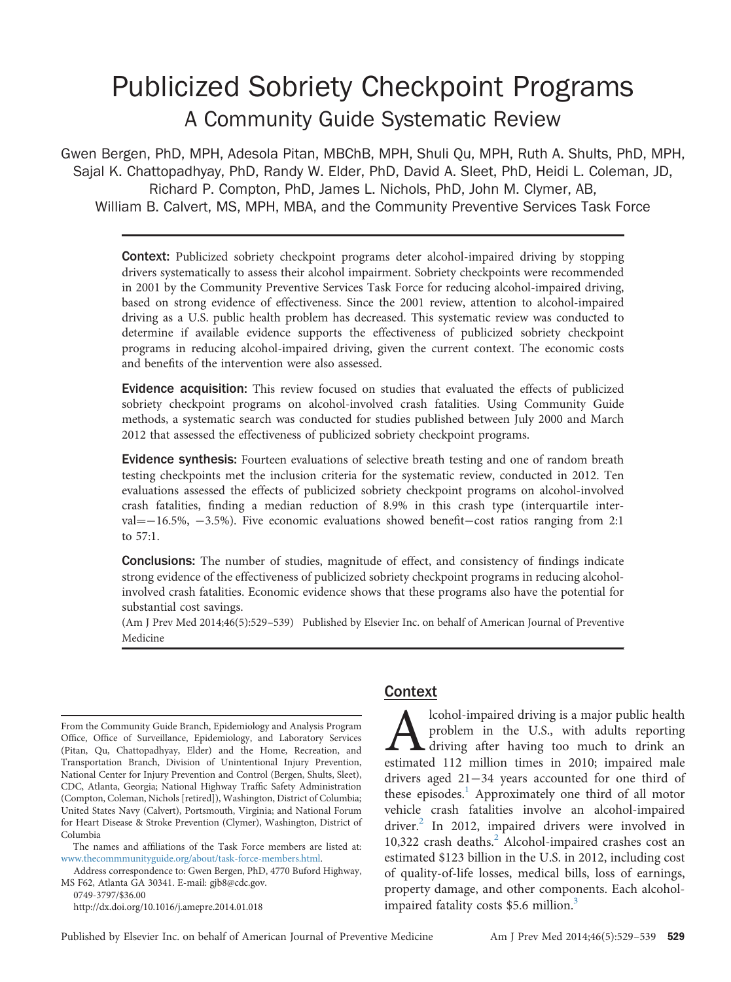# Publicized Sobriety Checkpoint Programs A Community Guide Systematic Review

Gwen Bergen, PhD, MPH, Adesola Pitan, MBChB, MPH, Shuli Qu, MPH, Ruth A. Shults, PhD, MPH, Sajal K. Chattopadhyay, PhD, Randy W. Elder, PhD, David A. Sleet, PhD, Heidi L. Coleman, JD, Richard P. Compton, PhD, James L. Nichols, PhD, John M. Clymer, AB, William B. Calvert, MS, MPH, MBA, and the Community Preventive Services Task Force

Context: Publicized sobriety checkpoint programs deter alcohol-impaired driving by stopping drivers systematically to assess their alcohol impairment. Sobriety checkpoints were recommended in 2001 by the Community Preventive Services Task Force for reducing alcohol-impaired driving, based on strong evidence of effectiveness. Since the 2001 review, attention to alcohol-impaired driving as a U.S. public health problem has decreased. This systematic review was conducted to determine if available evidence supports the effectiveness of publicized sobriety checkpoint programs in reducing alcohol-impaired driving, given the current context. The economic costs and benefits of the intervention were also assessed.

Evidence acquisition: This review focused on studies that evaluated the effects of publicized sobriety checkpoint programs on alcohol-involved crash fatalities. Using Community Guide methods, a systematic search was conducted for studies published between July 2000 and March 2012 that assessed the effectiveness of publicized sobriety checkpoint programs.

Evidence synthesis: Fourteen evaluations of selective breath testing and one of random breath testing checkpoints met the inclusion criteria for the systematic review, conducted in 2012. Ten evaluations assessed the effects of publicized sobriety checkpoint programs on alcohol-involved crash fatalities, finding a median reduction of 8.9% in this crash type (interquartile interval=-16.5%, -3.5%). Five economic evaluations showed benefit-cost ratios ranging from 2:1 to 57:1.

**Conclusions:** The number of studies, magnitude of effect, and consistency of findings indicate strong evidence of the effectiveness of publicized sobriety checkpoint programs in reducing alcoholinvolved crash fatalities. Economic evidence shows that these programs also have the potential for substantial cost savings.

(Am J Prev Med 2014;46(5):529–539) Published by Elsevier Inc. on behalf of American Journal of Preventive Medicine

The names and affiliations of the Task Force members are listed at: [www.thecommmunityguide.org/about/task-force-members.html.](www.thecommmunityguide.org/about/task-force-members.html)

Address correspondence to: Gwen Bergen, PhD, 4770 Buford Highway, MS F62, Atlanta GA 30341. E-mail: [gjb8@cdc.gov.](mailto:gjb8@cdc.gov)

[0749-3797/\\$36.00](mailto:gjb8@cdc.gov)

[http://dx.doi.org/10.1016/j.amepre.2014.01.018](dx.doi.org/10.1016/j.amepre.2014.01.018)

## **Context**

cohol-impaired driving is a major public health<br>problem in the U.S., with adults reporting<br>driving after having too much to drink an<br>estimated 112 million times in 2010; impaired male problem in the U.S., with adults reporting driving after having too much to drink an estimated 112 million times in 2010; impaired male drivers aged 21-34 years accounted for one third of these episodes.<sup>1</sup> Approximately one third of all motor vehicle crash fatalities involve an alcohol-impaired driver. $^{2}$  In 2012, impaired drivers were involved in 10,322 crash deaths.<sup>2</sup> Alcohol-impaired crashes cost an estimated \$123 billion in the U.S. in 2012, including cost of quality-of-life losses, medical bills, loss of earnings, property damage, and other components. Each alcoholimpaired fatality costs \$5.6 million.<sup>3</sup>

From the Community Guide Branch, Epidemiology and Analysis Program Office, Office of Surveillance, Epidemiology, and Laboratory Services (Pitan, Qu, Chattopadhyay, Elder) and the Home, Recreation, and Transportation Branch, Division of Unintentional Injury Prevention, National Center for Injury Prevention and Control (Bergen, Shults, Sleet), CDC, Atlanta, Georgia; National Highway Traffic Safety Administration (Compton, Coleman, Nichols [retired]), Washington, District of Columbia; United States Navy (Calvert), Portsmouth, Virginia; and National Forum for Heart Disease & Stroke Prevention (Clymer), Washington, District of Columbia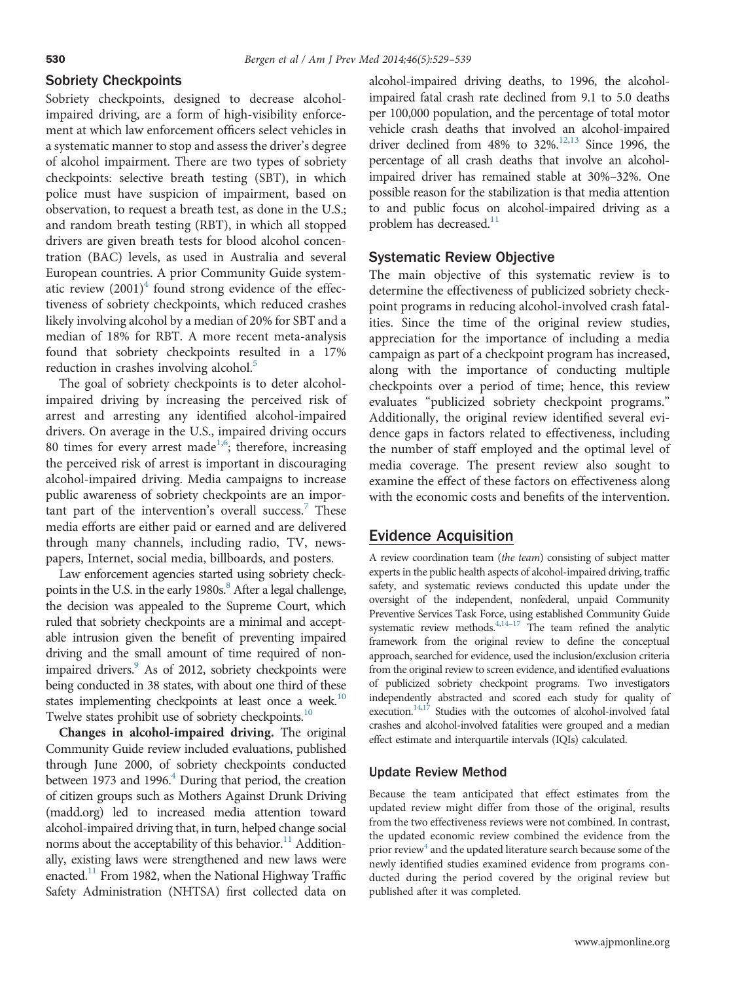## Sobriety Checkpoints

Sobriety checkpoints, designed to decrease alcoholimpaired driving, are a form of high-visibility enforcement at which law enforcement officers select vehicles in a systematic manner to stop and assess the driver's degree of alcohol impairment. There are two types of sobriety checkpoints: selective breath testing (SBT), in which police must have suspicion of impairment, based on observation, to request a breath test, as done in the U.S.; and random breath testing (RBT), in which all stopped drivers are given breath tests for blood alcohol concentration (BAC) levels, as used in Australia and several European countries. A prior Community Guide systematic review  $(2001)^4$  found strong evidence of the effectiveness of sobriety checkpoints, which reduced crashes likely involving alcohol by a median of 20% for SBT and a median of 18% for RBT. A more recent meta-analysis found that sobriety checkpoints resulted in a 17% reduction in crashes involving alcohol.<sup>5</sup>

The goal of sobriety checkpoints is to deter alcoholimpaired driving by increasing the perceived risk of arrest and arresting any identified alcohol-impaired drivers. On average in the U.S., impaired driving occurs 80 times for every arrest made<sup>1,[6](#page-9-0)</sup>; therefore, increasing the perceived risk of arrest is important in discouraging alcohol-impaired driving. Media campaigns to increase public awareness of sobriety checkpoints are an impor-tant part of the intervention's overall success.<sup>[7](#page-9-0)</sup> These media efforts are either paid or earned and are delivered through many channels, including radio, TV, newspapers, Internet, social media, billboards, and posters.

Law enforcement agencies started using sobriety checkpoints in the U.S. in the early 1980s.<sup>8</sup> After a legal challenge, the decision was appealed to the Supreme Court, which ruled that sobriety checkpoints are a minimal and acceptable intrusion given the benefit of preventing impaired driving and the small amount of time required of non-impaired drivers.<sup>[9](#page-9-0)</sup> As of 2012, sobriety checkpoints were being conducted in 38 states, with about one third of these states implementing checkpoints at least once a week.<sup>[10](#page-9-0)</sup> Twelve states prohibit use of sobriety checkpoints.<sup>10</sup>

Changes in alcohol-impaired driving. The original Community Guide review included evaluations, published through June 2000, of sobriety checkpoints conducted between 1973 and 1996.<sup>4</sup> During that period, the creation of citizen groups such as Mothers Against Drunk Driving (madd.org) led to increased media attention toward alcohol-impaired driving that, in turn, helped change social norms about the acceptability of this behavior.<sup>11</sup> Additionally, existing laws were strengthened and new laws were enacted.<sup>11</sup> From 1982, when the National Highway Traffic Safety Administration (NHTSA) first collected data on alcohol-impaired driving deaths, to 1996, the alcoholimpaired fatal crash rate declined from 9.1 to 5.0 deaths per 100,000 population, and the percentage of total motor vehicle crash deaths that involved an alcohol-impaired driver declined from  $48\%$  to  $32\%$ .<sup>12,13</sup> Since 1996, the percentage of all crash deaths that involve an alcoholimpaired driver has remained stable at 30%–32%. One possible reason for the stabilization is that media attention to and public focus on alcohol-impaired driving as a problem has decreased.<sup>11</sup>

## Systematic Review Objective

The main objective of this systematic review is to determine the effectiveness of publicized sobriety checkpoint programs in reducing alcohol-involved crash fatalities. Since the time of the original review studies, appreciation for the importance of including a media campaign as part of a checkpoint program has increased, along with the importance of conducting multiple checkpoints over a period of time; hence, this review evaluates "publicized sobriety checkpoint programs." Additionally, the original review identified several evidence gaps in factors related to effectiveness, including the number of staff employed and the optimal level of media coverage. The present review also sought to examine the effect of these factors on effectiveness along with the economic costs and benefits of the intervention.

## Evidence Acquisition

A review coordination team (the team) consisting of subject matter experts in the public health aspects of alcohol-impaired driving, traffic safety, and systematic reviews conducted this update under the oversight of the independent, nonfederal, unpaid Community Preventive Services Task Force, using established Community Guide systematic review methods. $4,14-17$  $4,14-17$  The team refined the analytic framework from the original review to define the conceptual approach, searched for evidence, used the inclusion/exclusion criteria from the original review to screen evidence, and identified evaluations of publicized sobriety checkpoint programs. Two investigators independently abstracted and scored each study for quality of execution.<sup>[14,17](#page-9-0)</sup> Studies with the outcomes of alcohol-involved fatal crashes and alcohol-involved fatalities were grouped and a median effect estimate and interquartile intervals (IQIs) calculated.

#### Update Review Method

Because the team anticipated that effect estimates from the updated review might differ from those of the original, results from the two effectiveness reviews were not combined. In contrast, the updated economic review combined the evidence from the prior review<sup>4</sup> and the updated literature search because some of the newly identified studies examined evidence from programs conducted during the period covered by the original review but published after it was completed.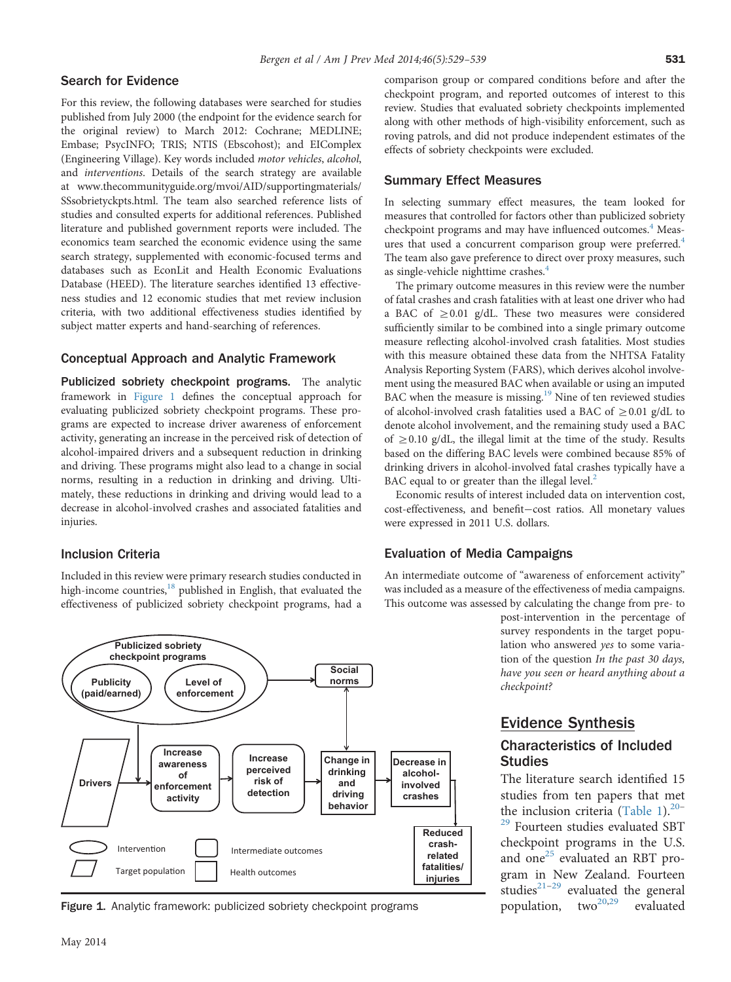#### Search for Evidence

For this review, the following databases were searched for studies published from July 2000 (the endpoint for the evidence search for the original review) to March 2012: Cochrane; MEDLINE; Embase; PsycINFO; TRIS; NTIS (Ebscohost); and EIComplex (Engineering Village). Key words included motor vehicles, alcohol, and interventions. Details of the search strategy are available at www.thecommunityguide.org/mvoi/AID/supportingmaterials/ SSsobrietyckpts.html. The team also searched reference lists of studies and consulted experts for additional references. Published literature and published government reports were included. The economics team searched the economic evidence using the same search strategy, supplemented with economic-focused terms and databases such as EconLit and Health Economic Evaluations Database (HEED). The literature searches identified 13 effectiveness studies and 12 economic studies that met review inclusion criteria, with two additional effectiveness studies identified by subject matter experts and hand-searching of references.

#### Conceptual Approach and Analytic Framework

Publicized sobriety checkpoint programs. The analytic framework in Figure 1 defines the conceptual approach for evaluating publicized sobriety checkpoint programs. These programs are expected to increase driver awareness of enforcement activity, generating an increase in the perceived risk of detection of alcohol-impaired drivers and a subsequent reduction in drinking and driving. These programs might also lead to a change in social norms, resulting in a reduction in drinking and driving. Ultimately, these reductions in drinking and driving would lead to a decrease in alcohol-involved crashes and associated fatalities and injuries.

#### Inclusion Criteria

Included in this review were primary research studies conducted in high-income countries, $18$  published in English, that evaluated the effectiveness of publicized sobriety checkpoint programs, had a



Figure 1. Analytic framework: publicized sobriety checkpoint programs

comparison group or compared conditions before and after the checkpoint program, and reported outcomes of interest to this review. Studies that evaluated sobriety checkpoints implemented along with other methods of high-visibility enforcement, such as roving patrols, and did not produce independent estimates of the effects of sobriety checkpoints were excluded.

#### Summary Effect Measures

In selecting summary effect measures, the team looked for measures that controlled for factors other than publicized sobriety checkpoint programs and may have influenced outcomes.<sup>[4](#page-9-0)</sup> Meas-ures that used a concurrent comparison group were preferred.<sup>[4](#page-9-0)</sup> The team also gave preference to direct over proxy measures, such as single-vehicle nighttime crashes.<sup>[4](#page-9-0)</sup>

The primary outcome measures in this review were the number of fatal crashes and crash fatalities with at least one driver who had a BAC of  $\geq$  0.01 g/dL. These two measures were considered sufficiently similar to be combined into a single primary outcome measure reflecting alcohol-involved crash fatalities. Most studies with this measure obtained these data from the NHTSA Fatality Analysis Reporting System (FARS), which derives alcohol involvement using the measured BAC when available or using an imputed BAC when the measure is missing.<sup>[19](#page-9-0)</sup> Nine of ten reviewed studies of alcohol-involved crash fatalities used a BAC of  $\geq$  0.01 g/dL to denote alcohol involvement, and the remaining study used a BAC of  $\geq$  0.10 g/dL, the illegal limit at the time of the study. Results based on the differing BAC levels were combined because 85% of drinking drivers in alcohol-involved fatal crashes typically have a BAC equal to or greater than the illegal level.<sup>[2](#page-9-0)</sup>

Economic results of interest included data on intervention cost, cost-effectiveness, and benefit-cost ratios. All monetary values were expressed in 2011 U.S. dollars.

#### Evaluation of Media Campaigns

An intermediate outcome of "awareness of enforcement activity" was included as a measure of the effectiveness of media campaigns. This outcome was assessed by calculating the change from pre- to

post-intervention in the percentage of survey respondents in the target population who answered yes to some variation of the question In the past 30 days, have you seen or heard anything about a checkpoint?

## Evidence Synthesis

## Characteristics of Included **Studies**

The literature search identified 15 studies from ten papers that met the inclusion criteria ([Table 1\)](#page-4-0). $20 20-$ <sup>[29](#page-10-0)</sup> Fourteen studies evaluated SBT checkpoint programs in the U.S. and one<sup>[25](#page-10-0)</sup> evaluated an RBT program in New Zealand. Fourteen studies $21-29$  $21-29$  evaluated the general population, two<sup>[20](#page-9-0)[,29](#page-10-0)</sup> evaluated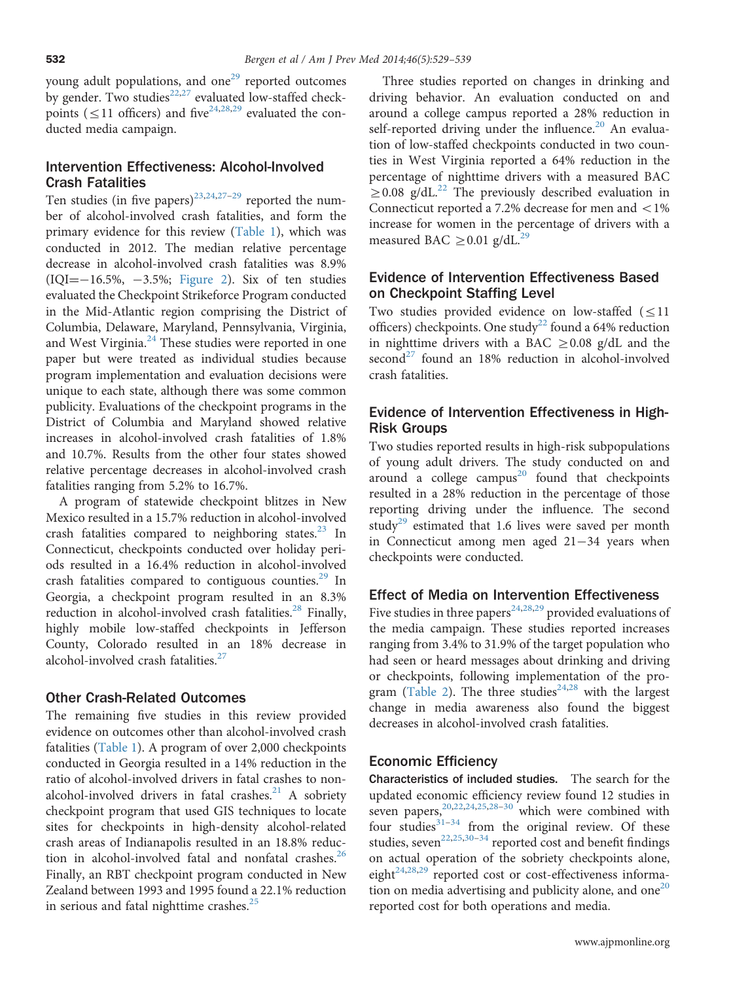young adult populations, and one<sup>[29](#page-10-0)</sup> reported outcomes by gender. Two studies $^{22,27}$  $^{22,27}$  $^{22,27}$  evaluated low-staffed checkpoints ( $\leq$ 11 officers) and five<sup>[24](#page-10-0),[28,29](#page-10-0)</sup> evaluated the conducted media campaign.

## Intervention Effectiveness: Alcohol-Involved Crash Fatalities

Ten studies (in five papers)<sup>[23,24,27](#page-10-0)-[29](#page-10-0)</sup> reported the number of alcohol-involved crash fatalities, and form the primary evidence for this review [\(Table 1\)](#page-4-0), which was conducted in 2012. The median relative percentage decrease in alcohol-involved crash fatalities was 8.9%  $(IQI = -16.5\%, -3.5\%;$  [Figure 2](#page-7-0)). Six of ten studies evaluated the Checkpoint Strikeforce Program conducted in the Mid-Atlantic region comprising the District of Columbia, Delaware, Maryland, Pennsylvania, Virginia, and West Virginia.<sup>[24](#page-10-0)</sup> These studies were reported in one paper but were treated as individual studies because program implementation and evaluation decisions were unique to each state, although there was some common publicity. Evaluations of the checkpoint programs in the District of Columbia and Maryland showed relative increases in alcohol-involved crash fatalities of 1.8% and 10.7%. Results from the other four states showed relative percentage decreases in alcohol-involved crash fatalities ranging from 5.2% to 16.7%.

A program of statewide checkpoint blitzes in New Mexico resulted in a 15.7% reduction in alcohol-involved crash fatalities compared to neighboring states. $^{23}$  In Connecticut, checkpoints conducted over holiday periods resulted in a 16.4% reduction in alcohol-involved crash fatalities compared to contiguous counties.<sup>29</sup> In Georgia, a checkpoint program resulted in an 8.3% reduction in alcohol-involved crash fatalities.<sup>28</sup> Finally, highly mobile low-staffed checkpoints in Jefferson County, Colorado resulted in an 18% decrease in alcohol-involved crash fatalities.<sup>27</sup>

#### Other Crash-Related Outcomes

The remaining five studies in this review provided evidence on outcomes other than alcohol-involved crash fatalities [\(Table 1](#page-4-0)). A program of over 2,000 checkpoints conducted in Georgia resulted in a 14% reduction in the ratio of alcohol-involved drivers in fatal crashes to nonalcohol-involved drivers in fatal crashes. $21$  A sobriety checkpoint program that used GIS techniques to locate sites for checkpoints in high-density alcohol-related crash areas of Indianapolis resulted in an 18.8% reduction in alcohol-involved fatal and nonfatal crashes. $26$ Finally, an RBT checkpoint program conducted in New Zealand between 1993 and 1995 found a 22.1% reduction in serious and fatal nighttime crashes. $25$ 

Three studies reported on changes in drinking and driving behavior. An evaluation conducted on and around a college campus reported a 28% reduction in self-reported driving under the influence.<sup>20</sup> An evaluation of low-staffed checkpoints conducted in two counties in West Virginia reported a 64% reduction in the percentage of nighttime drivers with a measured BAC  $\geq$  0.08 g/dL.<sup>22</sup> The previously described evaluation in Connecticut reported a 7.2% decrease for men and  $\langle 1\%$ increase for women in the percentage of drivers with a measured BAC  $\geq$  0.01 g/dL.<sup>29</sup>

## Evidence of Intervention Effectiveness Based on Checkpoint Staffing Level

Two studies provided evidence on low-staffed  $(\leq11)$ officers) checkpoints. One study<sup>22</sup> found a 64% reduction in nighttime drivers with a BAC  $\geq$  0.08 g/dL and the  $second^{27}$  $second^{27}$  $second^{27}$  found an 18% reduction in alcohol-involved crash fatalities.

## Evidence of Intervention Effectiveness in High-Risk Groups

Two studies reported results in high-risk subpopulations of young adult drivers. The study conducted on and around a college campus<sup>[20](#page-9-0)</sup> found that checkpoints resulted in a 28% reduction in the percentage of those reporting driving under the influence. The second study<sup>[29](#page-10-0)</sup> estimated that 1.6 lives were saved per month in Connecticut among men aged 21-34 years when checkpoints were conducted.

#### Effect of Media on Intervention Effectiveness

Five studies in three papers<sup>[24,28,29](#page-10-0)</sup> provided evaluations of the media campaign. These studies reported increases ranging from 3.4% to 31.9% of the target population who had seen or heard messages about drinking and driving or checkpoints, following implementation of the pro-gram ([Table 2](#page-7-0)). The three studies<sup>24,28</sup> with the largest change in media awareness also found the biggest decreases in alcohol-involved crash fatalities.

#### Economic Efficiency

Characteristics of included studies. The search for the updated economic efficiency review found 12 studies in seven papers, $2^{0,22,24,25,28-30}$  $2^{0,22,24,25,28-30}$  $2^{0,22,24,25,28-30}$  $2^{0,22,24,25,28-30}$  $2^{0,22,24,25,28-30}$  $2^{0,22,24,25,28-30}$  $2^{0,22,24,25,28-30}$  which were combined with four studies $31-34$  $31-34$  $31-34$  from the original review. Of these studies, seven<sup>[22](#page-10-0),[25,30](#page-10-0)–[34](#page-10-0)</sup> reported cost and benefit findings on actual operation of the sobriety checkpoints alone, eight $24,28,29$  $24,28,29$  $24,28,29$  reported cost or cost-effectiveness information on media advertising and publicity alone, and one<sup>20</sup> reported cost for both operations and media.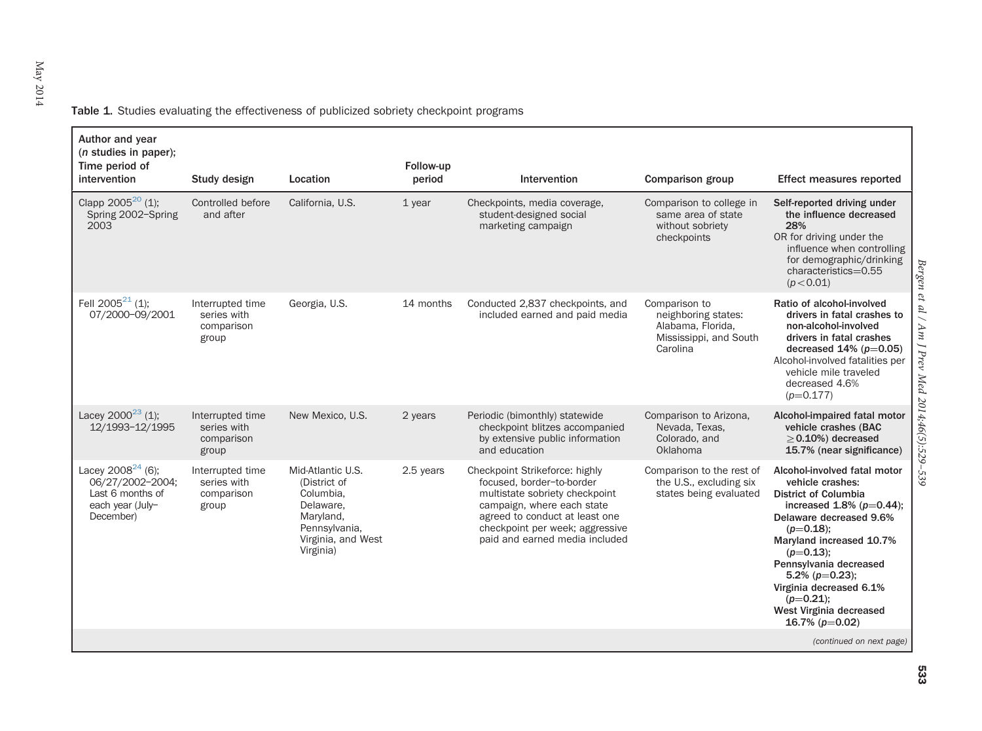#### <span id="page-4-0"></span>Table 1. Studies evaluating the effectiveness of publicized sobriety checkpoint programs

| Author and year<br>( <i>n</i> studies in paper);<br>Time period of                                     |                                                        |                                                                                                                              | Follow-up |                                                                                                                                                                                                                                    |                                                                                                 |                                                                                                                                                                                                                                                                                                                                                      |
|--------------------------------------------------------------------------------------------------------|--------------------------------------------------------|------------------------------------------------------------------------------------------------------------------------------|-----------|------------------------------------------------------------------------------------------------------------------------------------------------------------------------------------------------------------------------------------|-------------------------------------------------------------------------------------------------|------------------------------------------------------------------------------------------------------------------------------------------------------------------------------------------------------------------------------------------------------------------------------------------------------------------------------------------------------|
| intervention                                                                                           | Study design                                           | Location                                                                                                                     | period    | Intervention                                                                                                                                                                                                                       | <b>Comparison group</b>                                                                         | <b>Effect measures reported</b>                                                                                                                                                                                                                                                                                                                      |
| Clapp $2005^{20}$ (1);<br>Spring 2002-Spring<br>2003                                                   | Controlled before<br>and after                         | California, U.S.                                                                                                             | 1 year    | Checkpoints, media coverage,<br>student-designed social<br>marketing campaign                                                                                                                                                      | Comparison to college in<br>same area of state<br>without sobriety<br>checkpoints               | Self-reported driving under<br>the influence decreased<br>28%<br>OR for driving under the<br>influence when controlling<br>for demographic/drinking<br>characteristics=0.55<br>(p < 0.01)                                                                                                                                                            |
| Fell $2005^{21}$ (1);<br>07/2000-09/2001                                                               | Interrupted time<br>series with<br>comparison<br>group | Georgia, U.S.                                                                                                                | 14 months | Conducted 2,837 checkpoints, and<br>included earned and paid media                                                                                                                                                                 | Comparison to<br>neighboring states:<br>Alabama, Florida,<br>Mississippi, and South<br>Carolina | Ratio of alcohol-involved<br>drivers in fatal crashes to<br>non-alcohol-involved<br>drivers in fatal crashes<br>decreased $14\%$ ( $p=0.05$ )<br>Alcohol-involved fatalities per<br>vehicle mile traveled<br>decreased 4.6%<br>$(p=0.177)$                                                                                                           |
| Lacey $2000^{23}$ (1);<br>12/1993-12/1995                                                              | Interrupted time<br>series with<br>comparison<br>group | New Mexico, U.S.                                                                                                             | 2 years   | Periodic (bimonthly) statewide<br>checkpoint blitzes accompanied<br>by extensive public information<br>and education                                                                                                               | Comparison to Arizona,<br>Nevada, Texas,<br>Colorado, and<br>Oklahoma                           | Alcohol-impaired fatal motor<br>vehicle crashes (BAC<br>$\geq$ 0.10%) decreased<br>15.7% (near significance)                                                                                                                                                                                                                                         |
| Lacey 2008 <sup>24</sup> (6);<br>06/27/2002-2004;<br>Last 6 months of<br>each year (July-<br>December) | Interrupted time<br>series with<br>comparison<br>group | Mid-Atlantic U.S.<br>(District of<br>Columbia,<br>Delaware,<br>Maryland,<br>Pennsylvania,<br>Virginia, and West<br>Virginia) | 2.5 years | Checkpoint Strikeforce: highly<br>focused, border-to-border<br>multistate sobriety checkpoint<br>campaign, where each state<br>agreed to conduct at least one<br>checkpoint per week; aggressive<br>paid and earned media included | Comparison to the rest of<br>the U.S., excluding six<br>states being evaluated                  | Alcohol-involved fatal motor<br>vehicle crashes:<br><b>District of Columbia</b><br>increased $1.8\%$ ( $p=0.44$ );<br>Delaware decreased 9.6%<br>$(p=0.18)$ ;<br>Maryland increased 10.7%<br>$(p=0.13);$<br>Pennsylvania decreased<br>5.2% ( $p=0.23$ );<br>Virginia decreased 6.1%<br>$(p=0.21)$ ;<br>West Virginia decreased<br>16.7% ( $p=0.02$ ) |
|                                                                                                        |                                                        |                                                                                                                              |           |                                                                                                                                                                                                                                    |                                                                                                 | (continued on next page)                                                                                                                                                                                                                                                                                                                             |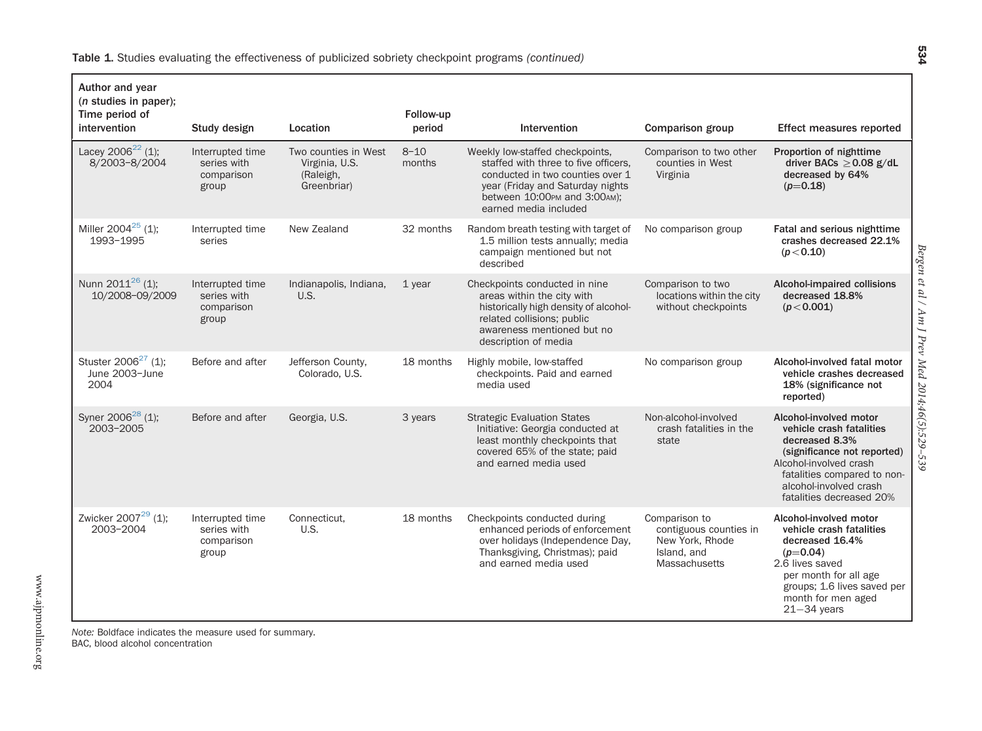Author and year

|  | ( <i>n</i> studies in paper); |  |  |  |
|--|-------------------------------|--|--|--|
|  |                               |  |  |  |

| Time period of<br>intervention                            | Study design                                           | Location                                                           | Follow-up<br>period | Intervention                                                                                                                                                                                              | <b>Comparison group</b>                                                                           | <b>Effect measures reported</b>                                                                                                                                                                                    |
|-----------------------------------------------------------|--------------------------------------------------------|--------------------------------------------------------------------|---------------------|-----------------------------------------------------------------------------------------------------------------------------------------------------------------------------------------------------------|---------------------------------------------------------------------------------------------------|--------------------------------------------------------------------------------------------------------------------------------------------------------------------------------------------------------------------|
| Lacey 2006 <sup>22</sup> (1);<br>8/2003-8/2004            | Interrupted time<br>series with<br>comparison<br>group | Two counties in West<br>Virginia, U.S.<br>(Raleigh,<br>Greenbriar) | $8 - 10$<br>months  | Weekly low-staffed checkpoints,<br>staffed with three to five officers.<br>conducted in two counties over 1<br>year (Friday and Saturday nights)<br>between 10:00PM and 3:00AM);<br>earned media included | Comparison to two other<br>counties in West<br>Virginia                                           | Proportion of nighttime<br>driver BACs $\geq$ 0.08 g/dL<br>decreased by 64%<br>$(p=0.18)$                                                                                                                          |
| Miller 2004 <sup>25</sup> (1);<br>1993-1995               | Interrupted time<br>series                             | New Zealand                                                        | 32 months           | Random breath testing with target of<br>1.5 million tests annually; media<br>campaign mentioned but not<br>described                                                                                      | No comparison group                                                                               | Fatal and serious nighttime<br>crashes decreased 22.1%<br>(p < 0.10)                                                                                                                                               |
| Nunn 2011 <sup>26</sup> (1);<br>10/2008-09/2009           | Interrupted time<br>series with<br>comparison<br>group | Indianapolis, Indiana,<br>U.S.                                     | 1 year              | Checkpoints conducted in nine<br>areas within the city with<br>historically high density of alcohol-<br>related collisions; public<br>awareness mentioned but no<br>description of media                  | Comparison to two<br>locations within the city<br>without checkpoints                             | Alcohol-impaired collisions<br>decreased 18.8%<br>(p < 0.001)                                                                                                                                                      |
| Stuster 2006 <sup>27</sup> (1);<br>June 2003-June<br>2004 | Before and after                                       | Jefferson County,<br>Colorado, U.S.                                | 18 months           | Highly mobile, low-staffed<br>checkpoints. Paid and earned<br>media used                                                                                                                                  | No comparison group                                                                               | Alcohol-involved fatal motor<br>vehicle crashes decreased<br>18% (significance not<br>reported)                                                                                                                    |
| Syner 2006 <sup>28</sup> (1);<br>2003-2005                | Before and after                                       | Georgia, U.S.                                                      | 3 years             | <b>Strategic Evaluation States</b><br>Initiative: Georgia conducted at<br>least monthly checkpoints that<br>covered 65% of the state; paid<br>and earned media used                                       | Non-alcohol-involved<br>crash fatalities in the<br>state                                          | Alcohol-involved motor<br>vehicle crash fatalities<br>decreased 8.3%<br>(significance not reported)<br>Alcohol-involved crash<br>fatalities compared to non-<br>alcohol-involved crash<br>fatalities decreased 20% |
| Zwicker 2007 <sup>29</sup> (1);<br>2003-2004              | Interrupted time<br>series with<br>comparison<br>group | Connecticut.<br>U.S.                                               | 18 months           | Checkpoints conducted during<br>enhanced periods of enforcement<br>over holidays (Independence Day,<br>Thanksgiving, Christmas); paid<br>and earned media used                                            | Comparison to<br>contiguous counties in<br>New York, Rhode<br>Island, and<br><b>Massachusetts</b> | Alcohol-involved motor<br>vehicle crash fatalities<br>decreased 16.4%<br>$(p=0.04)$<br>2.6 lives saved<br>per month for all age<br>groups; 1.6 lives saved per<br>month for men aged<br>$21 - 34$ years            |

Note: Boldface indicates the measure used for summary. BAC, blood alcohol concentration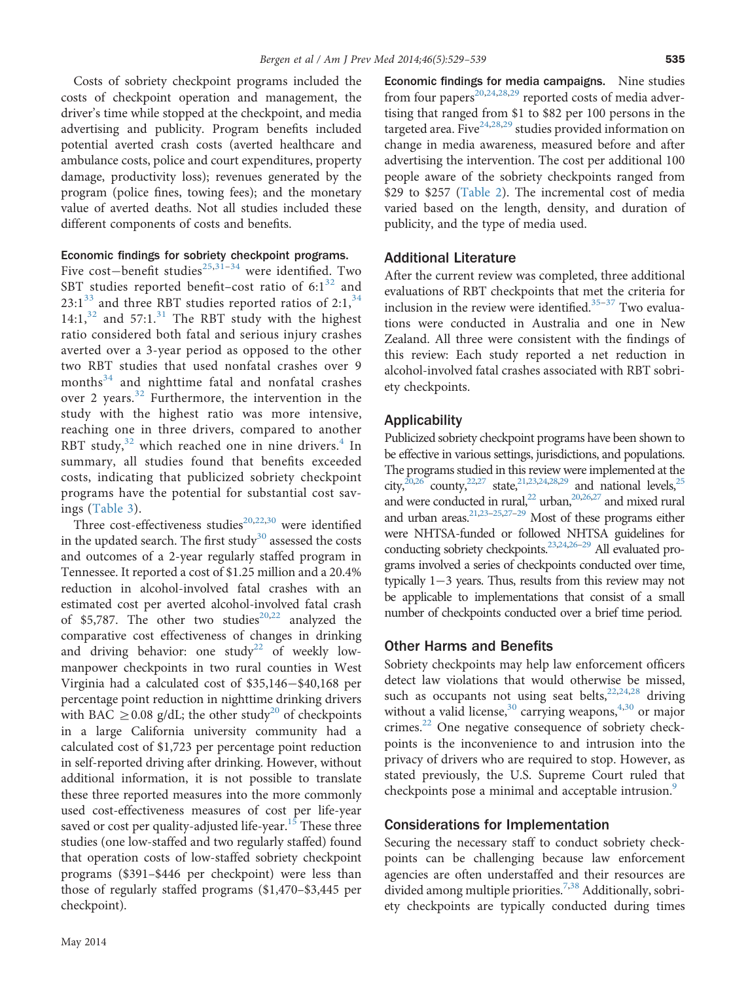Costs of sobriety checkpoint programs included the costs of checkpoint operation and management, the driver's time while stopped at the checkpoint, and media advertising and publicity. Program benefits included potential averted crash costs (averted healthcare and ambulance costs, police and court expenditures, property damage, productivity loss); revenues generated by the program (police fines, towing fees); and the monetary value of averted deaths. Not all studies included these different components of costs and benefits.

## Economic findings for sobriety checkpoint programs.

Five cost-benefit studies<sup>[25,31](#page-10-0)-[34](#page-10-0)</sup> were identified. Two SBT studies reported benefit–cost ratio of  $6:1^{32}$  $6:1^{32}$  $6:1^{32}$  and  $23:1^{33}$  $23:1^{33}$  $23:1^{33}$  and three RBT studies reported ratios of  $2:1,^{34}$  $2:1,^{34}$  $2:1,^{34}$  $14:1<sup>32</sup>$  $14:1<sup>32</sup>$  $14:1<sup>32</sup>$  and 57:1.<sup>[31](#page-10-0)</sup> The RBT study with the highest ratio considered both fatal and serious injury crashes averted over a 3-year period as opposed to the other two RBT studies that used nonfatal crashes over 9 months $34$  and nighttime fatal and nonfatal crashes over 2 years.<sup>[32](#page-10-0)</sup> Furthermore, the intervention in the study with the highest ratio was more intensive, reaching one in three drivers, compared to another RBT study, $32$  which reached one in nine drivers. $4 \text{ In }$  $4 \text{ In }$ summary, all studies found that benefits exceeded costs, indicating that publicized sobriety checkpoint programs have the potential for substantial cost savings ([Table 3\)](#page-8-0).

Three cost-effectiveness studies<sup>[20](#page-9-0),[22,30](#page-10-0)</sup> were identified in the updated search. The first study<sup>[30](#page-10-0)</sup> assessed the costs and outcomes of a 2-year regularly staffed program in Tennessee. It reported a cost of \$1.25 million and a 20.4% reduction in alcohol-involved fatal crashes with an estimated cost per averted alcohol-involved fatal crash of \$5,787. The other two studies<sup>[20,](#page-9-0)[22](#page-10-0)</sup> analyzed the comparative cost effectiveness of changes in drinking and driving behavior: one study<sup>[22](#page-10-0)</sup> of weekly lowmanpower checkpoints in two rural counties in West Virginia had a calculated cost of \$35,146-\$40,168 per percentage point reduction in nighttime drinking drivers with BAC  $\geq$  0.08 g/dL; the other study<sup>[20](#page-9-0)</sup> of checkpoints in a large California university community had a calculated cost of \$1,723 per percentage point reduction in self-reported driving after drinking. However, without additional information, it is not possible to translate these three reported measures into the more commonly used cost-effectiveness measures of cost per life-year saved or cost per quality-adjusted life-year.<sup>[15](#page-9-0)</sup> These three studies (one low-staffed and two regularly staffed) found that operation costs of low-staffed sobriety checkpoint programs (\$391–\$446 per checkpoint) were less than those of regularly staffed programs (\$1,470–\$3,445 per checkpoint).

Economic findings for media campaigns. Nine studies from four papers<sup>20[,24](#page-10-0),[28](#page-10-0),[29](#page-10-0)</sup> reported costs of media advertising that ranged from \$1 to \$82 per 100 persons in the targeted area. Five<sup>[24,28,29](#page-10-0)</sup> studies provided information on change in media awareness, measured before and after advertising the intervention. The cost per additional 100 people aware of the sobriety checkpoints ranged from \$29 to \$257 [\(Table 2\)](#page-7-0). The incremental cost of media varied based on the length, density, and duration of publicity, and the type of media used.

## Additional Literature

After the current review was completed, three additional evaluations of RBT checkpoints that met the criteria for inclusion in the review were identified.[35](#page-10-0)–[37](#page-10-0) Two evaluations were conducted in Australia and one in New Zealand. All three were consistent with the findings of this review: Each study reported a net reduction in alcohol-involved fatal crashes associated with RBT sobriety checkpoints.

### Applicability

Publicized sobriety checkpoint programs have been shown to be effective in various settings, jurisdictions, and populations. The programs studied in this review were implemented at the city,<sup>20[,26](#page-10-0)</sup> county,<sup>22,27</sup> state,<sup>21[,23](#page-10-0),[24,28,29](#page-10-0)</sup> and national levels,<sup>25</sup> and were conducted in rural,<sup>22</sup> urban,<sup>20[,26,27](#page-10-0)</sup> and mixed rural and urban areas.<sup>21,[23](#page-10-0)–[25,27](#page-10-0)–[29](#page-10-0)</sup> Most of these programs either were NHTSA-funded or followed NHTSA guidelines for conducting sobriety checkpoints.<sup>23,24,26-[29](#page-10-0)</sup> All evaluated programs involved a series of checkpoints conducted over time, typically 1-3 years. Thus, results from this review may not be applicable to implementations that consist of a small number of checkpoints conducted over a brief time period.

#### Other Harms and Benefits

Sobriety checkpoints may help law enforcement officers detect law violations that would otherwise be missed, such as occupants not using seat belts,  $22,24,28$  $22,24,28$  $22,24,28$  driving without a valid license,  $30$  carrying weapons,  $4,30$  $4,30$  or major crimes. $22$  One negative consequence of sobriety checkpoints is the inconvenience to and intrusion into the privacy of drivers who are required to stop. However, as stated previously, the U.S. Supreme Court ruled that checkpoints pose a minimal and acceptable intrusion.<sup>9</sup>

## Considerations for Implementation

Securing the necessary staff to conduct sobriety checkpoints can be challenging because law enforcement agencies are often understaffed and their resources are divided among multiple priorities.<sup>[7](#page-9-0)[,38](#page-10-0)</sup> Additionally, sobriety checkpoints are typically conducted during times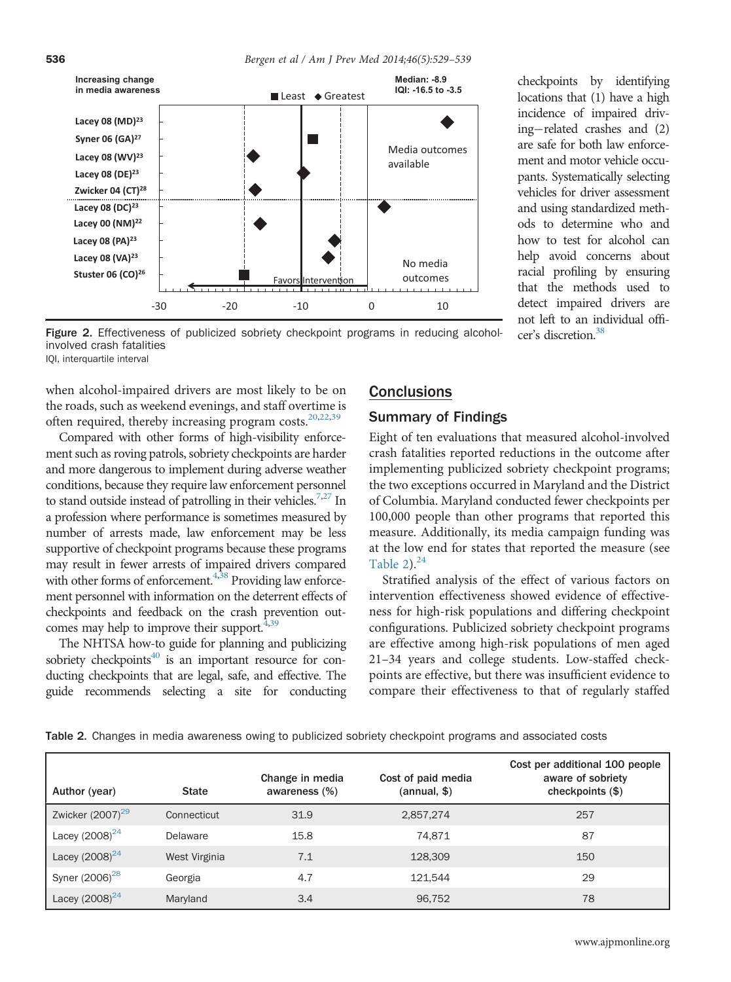<span id="page-7-0"></span>

checkpoints by identifying locations that (1) have a high incidence of impaired driving-related crashes and (2) are safe for both law enforcement and motor vehicle occupants. Systematically selecting vehicles for driver assessment and using standardized methods to determine who and how to test for alcohol can help avoid concerns about racial profiling by ensuring that the methods used to detect impaired drivers are not left to an individual offi-cer's discretion.<sup>[38](#page-10-0)</sup>

Figure 2. Effectiveness of publicized sobriety checkpoint programs in reducing alcoholinvolved crash fatalities

IQI, interquartile interval

when alcohol-impaired drivers are most likely to be on the roads, such as weekend evenings, and staff overtime is often required, thereby increasing program costs.<sup>[20](#page-9-0)[,22,39](#page-10-0)</sup>

Compared with other forms of high-visibility enforcement such as roving patrols, sobriety checkpoints are harder and more dangerous to implement during adverse weather conditions, because they require law enforcement personnel to stand outside instead of patrolling in their vehicles.<sup>7[,27](#page-10-0)</sup> In a profession where performance is sometimes measured by number of arrests made, law enforcement may be less supportive of checkpoint programs because these programs may result in fewer arrests of impaired drivers compared with other forms of enforcement. $4,38$  $4,38$  Providing law enforcement personnel with information on the deterrent effects of checkpoints and feedback on the crash prevention outcomes may help to improve their support. $4,39$  $4,39$  $4,39$ 

The NHTSA how-to guide for planning and publicizing sobriety checkpoints $40$  is an important resource for conducting checkpoints that are legal, safe, and effective. The guide recommends selecting a site for conducting

## **Conclusions**

## Summary of Findings

Eight of ten evaluations that measured alcohol-involved crash fatalities reported reductions in the outcome after implementing publicized sobriety checkpoint programs; the two exceptions occurred in Maryland and the District of Columbia. Maryland conducted fewer checkpoints per 100,000 people than other programs that reported this measure. Additionally, its media campaign funding was at the low end for states that reported the measure (see Table  $2$ ).<sup>[24](#page-10-0)</sup>

Stratified analysis of the effect of various factors on intervention effectiveness showed evidence of effectiveness for high-risk populations and differing checkpoint configurations. Publicized sobriety checkpoint programs are effective among high-risk populations of men aged 21–34 years and college students. Low-staffed checkpoints are effective, but there was insufficient evidence to compare their effectiveness to that of regularly staffed

|  |  |  |  |  |  |  | Table 2. Changes in media awareness owing to publicized sobriety checkpoint programs and associated costs |  |  |  |  |
|--|--|--|--|--|--|--|-----------------------------------------------------------------------------------------------------------|--|--|--|--|
|--|--|--|--|--|--|--|-----------------------------------------------------------------------------------------------------------|--|--|--|--|

| Author (year)              | <b>State</b>  | Change in media<br>awareness (%) | Cost of paid media<br>(annual, \$) | Cost per additional 100 people<br>aware of sobriety<br>checkpoints (\$) |
|----------------------------|---------------|----------------------------------|------------------------------------|-------------------------------------------------------------------------|
| Zwicker $(2007)^{29}$      | Connecticut   | 31.9                             | 2.857.274                          | 257                                                                     |
| Lacey $(2008)^{24}$        | Delaware      | 15.8                             | 74.871                             | 87                                                                      |
| Lacey $(2008)^{24}$        | West Virginia | 7.1                              | 128,309                            | 150                                                                     |
| Syner (2006) <sup>28</sup> | Georgia       | 4.7                              | 121.544                            | 29                                                                      |
| Lacey $(2008)^{24}$        | Maryland      | 3.4                              | 96,752                             | 78                                                                      |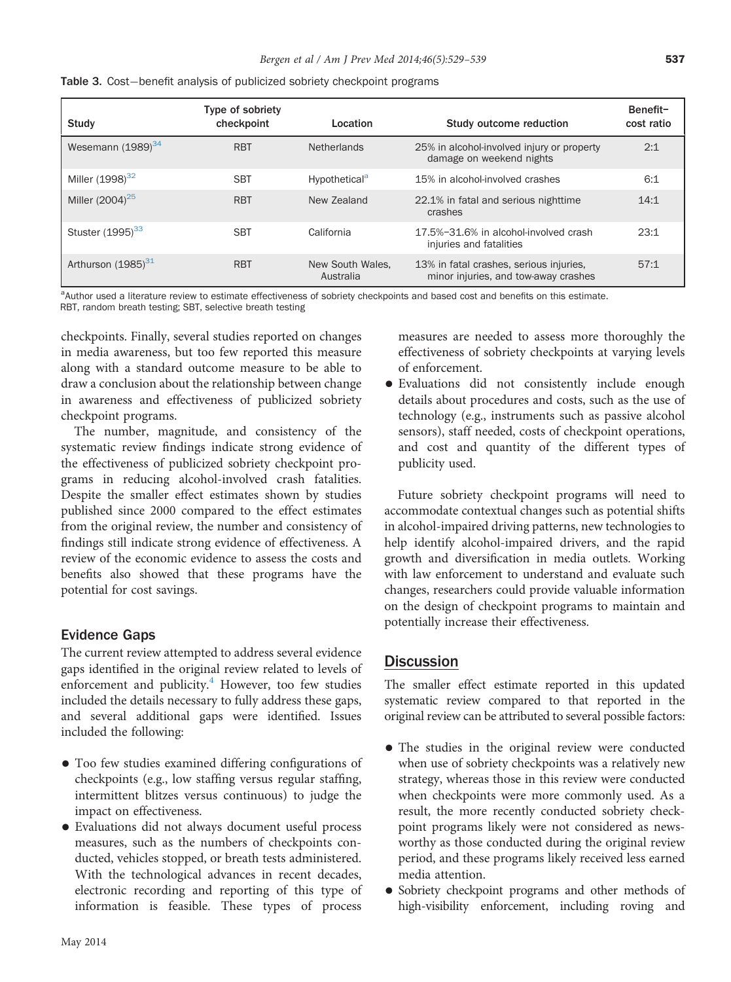<span id="page-8-0"></span>

| <b>Table 3.</b> Cost-benefit analysis of publicized sobriety checkpoint programs |  |
|----------------------------------------------------------------------------------|--|
|----------------------------------------------------------------------------------|--|

| Study                        | Type of sobriety<br>checkpoint | Location                      | Study outcome reduction                                                         | Benefit-<br>cost ratio |
|------------------------------|--------------------------------|-------------------------------|---------------------------------------------------------------------------------|------------------------|
| Wesemann $(1989)^{34}$       | <b>RBT</b>                     | <b>Netherlands</b>            | 25% in alcohol-involved injury or property<br>damage on weekend nights          | 2:1                    |
| Miller $(1998)^{32}$         | <b>SBT</b>                     | Hypothetical <sup>a</sup>     | 15% in alcohol-involved crashes                                                 | 6:1                    |
| Miller (2004) <sup>25</sup>  | <b>RBT</b>                     | New Zealand                   | 22.1% in fatal and serious nighttime<br>crashes                                 | 14:1                   |
| Stuster (1995) <sup>33</sup> | <b>SBT</b>                     | California                    | 17.5%-31.6% in alcohol-involved crash<br>injuries and fatalities                | 23:1                   |
| Arthurson $(1985)^{31}$      | <b>RBT</b>                     | New South Wales.<br>Australia | 13% in fatal crashes, serious injuries,<br>minor injuries, and tow-away crashes | 57:1                   |

a Author used a literature review to estimate effectiveness of sobriety checkpoints and based cost and benefits on this estimate. RBT, random breath testing; SBT, selective breath testing

checkpoints. Finally, several studies reported on changes in media awareness, but too few reported this measure along with a standard outcome measure to be able to draw a conclusion about the relationship between change in awareness and effectiveness of publicized sobriety checkpoint programs.

The number, magnitude, and consistency of the systematic review findings indicate strong evidence of the effectiveness of publicized sobriety checkpoint programs in reducing alcohol-involved crash fatalities. Despite the smaller effect estimates shown by studies published since 2000 compared to the effect estimates from the original review, the number and consistency of findings still indicate strong evidence of effectiveness. A review of the economic evidence to assess the costs and benefits also showed that these programs have the potential for cost savings.

#### Evidence Gaps

The current review attempted to address several evidence gaps identified in the original review related to levels of enforcement and publicity. $4$  However, too few studies included the details necessary to fully address these gaps, and several additional gaps were identified. Issues included the following:

- Too few studies examined differing configurations of checkpoints (e.g., low staffing versus regular staffing, intermittent blitzes versus continuous) to judge the impact on effectiveness.
- Evaluations did not always document useful process measures, such as the numbers of checkpoints conducted, vehicles stopped, or breath tests administered. With the technological advances in recent decades, electronic recording and reporting of this type of information is feasible. These types of process

measures are needed to assess more thoroughly the effectiveness of sobriety checkpoints at varying levels of enforcement.

 Evaluations did not consistently include enough details about procedures and costs, such as the use of technology (e.g., instruments such as passive alcohol sensors), staff needed, costs of checkpoint operations, and cost and quantity of the different types of publicity used.

Future sobriety checkpoint programs will need to accommodate contextual changes such as potential shifts in alcohol-impaired driving patterns, new technologies to help identify alcohol-impaired drivers, and the rapid growth and diversification in media outlets. Working with law enforcement to understand and evaluate such changes, researchers could provide valuable information on the design of checkpoint programs to maintain and potentially increase their effectiveness.

## **Discussion**

The smaller effect estimate reported in this updated systematic review compared to that reported in the original review can be attributed to several possible factors:

- The studies in the original review were conducted when use of sobriety checkpoints was a relatively new strategy, whereas those in this review were conducted when checkpoints were more commonly used. As a result, the more recently conducted sobriety checkpoint programs likely were not considered as newsworthy as those conducted during the original review period, and these programs likely received less earned media attention.
- Sobriety checkpoint programs and other methods of high-visibility enforcement, including roving and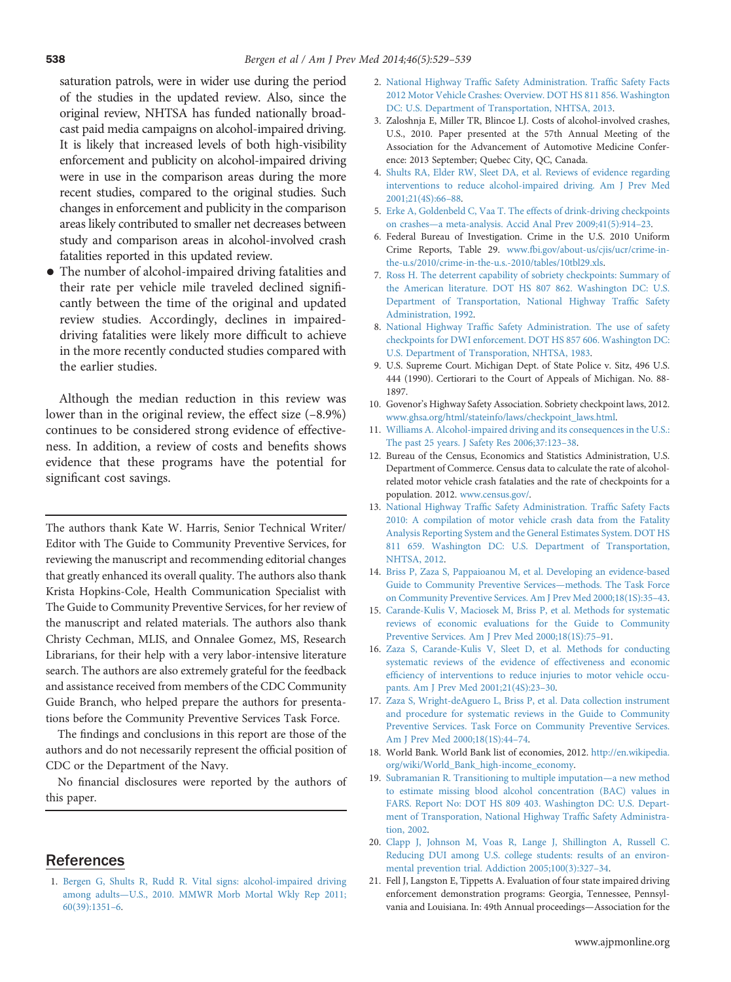<span id="page-9-0"></span>saturation patrols, were in wider use during the period of the studies in the updated review. Also, since the original review, NHTSA has funded nationally broadcast paid media campaigns on alcohol-impaired driving. It is likely that increased levels of both high-visibility enforcement and publicity on alcohol-impaired driving were in use in the comparison areas during the more recent studies, compared to the original studies. Such changes in enforcement and publicity in the comparison areas likely contributed to smaller net decreases between study and comparison areas in alcohol-involved crash fatalities reported in this updated review.

 The number of alcohol-impaired driving fatalities and their rate per vehicle mile traveled declined significantly between the time of the original and updated review studies. Accordingly, declines in impaireddriving fatalities were likely more difficult to achieve in the more recently conducted studies compared with the earlier studies.

Although the median reduction in this review was lower than in the original review, the effect size (–8.9%) continues to be considered strong evidence of effectiveness. In addition, a review of costs and benefits shows evidence that these programs have the potential for significant cost savings.

The authors thank Kate W. Harris, Senior Technical Writer/ Editor with The Guide to Community Preventive Services, for reviewing the manuscript and recommending editorial changes that greatly enhanced its overall quality. The authors also thank Krista Hopkins-Cole, Health Communication Specialist with The Guide to Community Preventive Services, for her review of the manuscript and related materials. The authors also thank Christy Cechman, MLIS, and Onnalee Gomez, MS, Research Librarians, for their help with a very labor-intensive literature search. The authors are also extremely grateful for the feedback and assistance received from members of the CDC Community Guide Branch, who helped prepare the authors for presentations before the Community Preventive Services Task Force.

The findings and conclusions in this report are those of the authors and do not necessarily represent the official position of CDC or the Department of the Navy.

No financial disclosures were reported by the authors of this paper.

#### References

1. [Bergen G, Shults R, Rudd R. Vital signs: alcohol-impaired driving](http://refhub.elsevier.com/S0749-3797(14)00050-6/sbref1) among adults—[U.S., 2010. MMWR Morb Mortal Wkly Rep 2011;](http://refhub.elsevier.com/S0749-3797(14)00050-6/sbref1) [60\(39\):1351](http://refhub.elsevier.com/S0749-3797(14)00050-6/sbref1)–6.

- 2. National Highway Traffi[c Safety Administration. Traf](http://refhub.elsevier.com/S0749-3797(14)00050-6/sbref2)fic Safety Facts [2012 Motor Vehicle Crashes: Overview. DOT HS 811 856. Washington](http://refhub.elsevier.com/S0749-3797(14)00050-6/sbref2) [DC: U.S. Department of Transportation, NHTSA, 2013.](http://refhub.elsevier.com/S0749-3797(14)00050-6/sbref2)
- 3. Zaloshnja E, Miller TR, Blincoe LJ. Costs of alcohol-involved crashes, U.S., 2010. Paper presented at the 57th Annual Meeting of the Association for the Advancement of Automotive Medicine Conference: 2013 September; Quebec City, QC, Canada.
- 4. [Shults RA, Elder RW, Sleet DA, et al. Reviews of evidence regarding](http://refhub.elsevier.com/S0749-3797(14)00050-6/sbref3) [interventions to reduce alcohol-impaired driving. Am J Prev Med](http://refhub.elsevier.com/S0749-3797(14)00050-6/sbref3) [2001;21\(4S\):66](http://refhub.elsevier.com/S0749-3797(14)00050-6/sbref3)–88.
- 5. [Erke A, Goldenbeld C, Vaa T. The effects of drink-driving checkpoints](http://refhub.elsevier.com/S0749-3797(14)00050-6/sbref4) on crashes—[a meta-analysis. Accid Anal Prev 2009;41\(5\):914](http://refhub.elsevier.com/S0749-3797(14)00050-6/sbref4)–23.
- 6. Federal Bureau of Investigation. Crime in the U.S. 2010 Uniform Crime Reports, Table 29. [www.fbi.gov/about-us/cjis/ucr/crime-in](www.fbi.gov/about-us/cjis/ucr/crime-in-the-u.s/2010/crime-in-the-u.s.-2010/tables/10tbl29.xls)[the-u.s/2010/crime-in-the-u.s.-2010/tables/10tbl29.xls](www.fbi.gov/about-us/cjis/ucr/crime-in-the-u.s/2010/crime-in-the-u.s.-2010/tables/10tbl29.xls).
- 7. [Ross H. The deterrent capability of sobriety checkpoints: Summary of](http://refhub.elsevier.com/S0749-3797(14)00050-6/sbref5) [the American literature. DOT HS 807 862. Washington DC: U.S.](http://refhub.elsevier.com/S0749-3797(14)00050-6/sbref5) [Department of Transportation, National Highway Traf](http://refhub.elsevier.com/S0749-3797(14)00050-6/sbref5)fic Safety [Administration, 1992.](http://refhub.elsevier.com/S0749-3797(14)00050-6/sbref5)
- 8. National Highway Traffi[c Safety Administration. The use of safety](http://refhub.elsevier.com/S0749-3797(14)00050-6/sbref6) [checkpoints for DWI enforcement. DOT HS 857 606. Washington DC:](http://refhub.elsevier.com/S0749-3797(14)00050-6/sbref6) [U.S. Department of Transporation, NHTSA, 1983.](http://refhub.elsevier.com/S0749-3797(14)00050-6/sbref6)
- 9. U.S. Supreme Court. Michigan Dept. of State Police v. Sitz, 496 U.S. 444 (1990). Certiorari to the Court of Appeals of Michigan. No. 88- 1897.
- 10. Govenor's Highway Safety Association. Sobriety checkpoint laws, 2012. [www.ghsa.org/html/stateinfo/laws/checkpoint\\_laws.html](www.ghsa.org/html/stateinfo/laws/checkpoint_laws.html).
- 11. [Williams A. Alcohol-impaired driving and its consequences in the U.S.:](http://refhub.elsevier.com/S0749-3797(14)00050-6/sbref7) [The past 25 years. J Safety Res 2006;37:123](http://refhub.elsevier.com/S0749-3797(14)00050-6/sbref7)–38.
- 12. Bureau of the Census, Economics and Statistics Administration, U.S. Department of Commerce. Census data to calculate the rate of alcoholrelated motor vehicle crash fatalaties and the rate of checkpoints for a population. 2012. <www.census.gov/>.
- 13. National Highway Traffi[c Safety Administration. Traf](http://refhub.elsevier.com/S0749-3797(14)00050-6/sbref8)fic Safety Facts [2010: A compilation of motor vehicle crash data from the Fatality](http://refhub.elsevier.com/S0749-3797(14)00050-6/sbref8) [Analysis Reporting System and the General Estimates System. DOT HS](http://refhub.elsevier.com/S0749-3797(14)00050-6/sbref8) [811 659. Washington DC: U.S. Department of Transportation,](http://refhub.elsevier.com/S0749-3797(14)00050-6/sbref8) [NHTSA, 2012.](http://refhub.elsevier.com/S0749-3797(14)00050-6/sbref8)
- 14. [Briss P, Zaza S, Pappaioanou M, et al. Developing an evidence-based](http://refhub.elsevier.com/S0749-3797(14)00050-6/sbref9) [Guide to Community Preventive Services](http://refhub.elsevier.com/S0749-3797(14)00050-6/sbref9)—methods. The Task Force [on Community Preventive Services. Am J Prev Med 2000;18\(1S\):35](http://refhub.elsevier.com/S0749-3797(14)00050-6/sbref9)–43.
- 15. [Carande-Kulis V, Maciosek M, Briss P, et al. Methods for systematic](http://refhub.elsevier.com/S0749-3797(14)00050-6/sbref10) [reviews of economic evaluations for the Guide to Community](http://refhub.elsevier.com/S0749-3797(14)00050-6/sbref10) [Preventive Services. Am J Prev Med 2000;18\(1S\):75](http://refhub.elsevier.com/S0749-3797(14)00050-6/sbref10)–91.
- 16. [Zaza S, Carande-Kulis V, Sleet D, et al. Methods for conducting](http://refhub.elsevier.com/S0749-3797(14)00050-6/sbref11) [systematic reviews of the evidence of effectiveness and economic](http://refhub.elsevier.com/S0749-3797(14)00050-6/sbref11) effi[ciency of interventions to reduce injuries to motor vehicle occu](http://refhub.elsevier.com/S0749-3797(14)00050-6/sbref11)[pants. Am J Prev Med 2001;21\(4S\):23](http://refhub.elsevier.com/S0749-3797(14)00050-6/sbref11)–30.
- 17. [Zaza S, Wright-deAguero L, Briss P, et al. Data collection instrument](http://refhub.elsevier.com/S0749-3797(14)00050-6/sbref12) [and procedure for systematic reviews in the Guide to Community](http://refhub.elsevier.com/S0749-3797(14)00050-6/sbref12) [Preventive Services. Task Force on Community Preventive Services.](http://refhub.elsevier.com/S0749-3797(14)00050-6/sbref12) [Am J Prev Med 2000;18\(1S\):44](http://refhub.elsevier.com/S0749-3797(14)00050-6/sbref12)–74.
- 18. World Bank. World Bank list of economies, 2012. [http://en.wikipedia.](http://en.wikipedia.org/wiki/World_Bank_high-income_economy) [org/wiki/World\\_Bank\\_high-income\\_economy](http://en.wikipedia.org/wiki/World_Bank_high-income_economy).
- 19. [Subramanian R. Transitioning to multiple imputation](http://refhub.elsevier.com/S0749-3797(14)00050-6/sbref13)—a new method [to estimate missing blood alcohol concentration \(BAC\) values in](http://refhub.elsevier.com/S0749-3797(14)00050-6/sbref13) [FARS. Report No: DOT HS 809 403. Washington DC: U.S. Depart](http://refhub.elsevier.com/S0749-3797(14)00050-6/sbref13)[ment of Transporation, National Highway Traf](http://refhub.elsevier.com/S0749-3797(14)00050-6/sbref13)fic Safety Administra[tion, 2002.](http://refhub.elsevier.com/S0749-3797(14)00050-6/sbref13)
- 20. [Clapp J, Johnson M, Voas R, Lange J, Shillington A, Russell C.](http://refhub.elsevier.com/S0749-3797(14)00050-6/sbref14) [Reducing DUI among U.S. college students: results of an environ](http://refhub.elsevier.com/S0749-3797(14)00050-6/sbref14)[mental prevention trial. Addiction 2005;100\(3\):327](http://refhub.elsevier.com/S0749-3797(14)00050-6/sbref14)–34.
- 21. Fell J, Langston E, Tippetts A. Evaluation of four state impaired driving enforcement demonstration programs: Georgia, Tennessee, Pennsylvania and Louisiana. In: 49th Annual proceedings—Association for the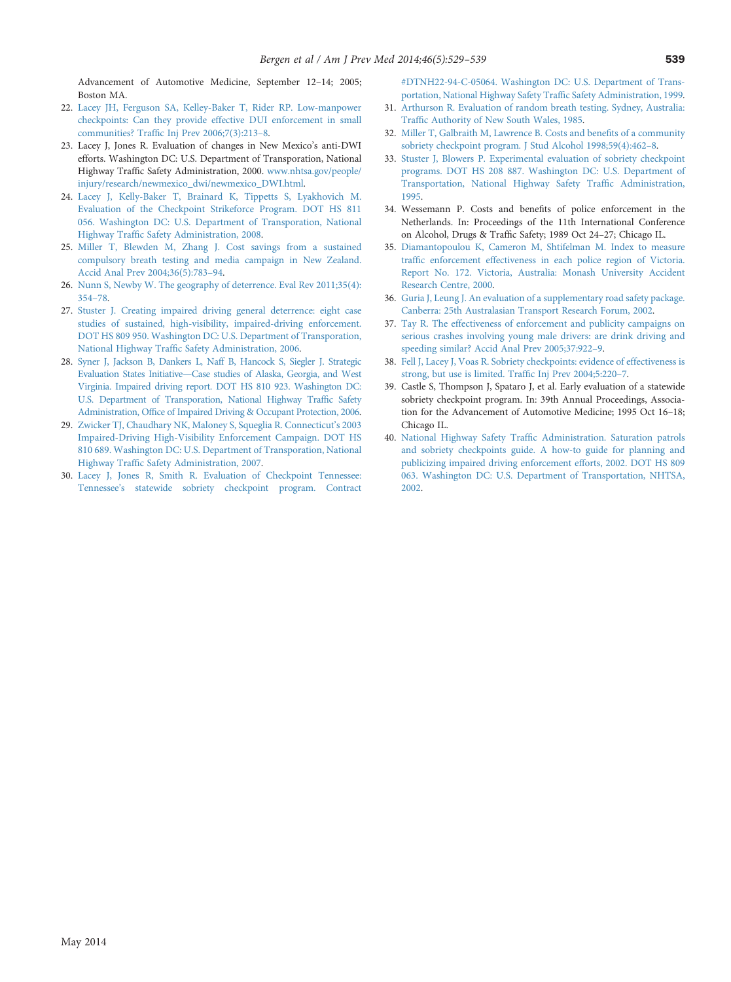<span id="page-10-0"></span>Advancement of Automotive Medicine, September 12–14; 2005; Boston MA.

- 22. [Lacey JH, Ferguson SA, Kelley-Baker T, Rider RP. Low-manpower](http://refhub.elsevier.com/S0749-3797(14)00050-6/sbref15) [checkpoints: Can they provide effective DUI enforcement in small](http://refhub.elsevier.com/S0749-3797(14)00050-6/sbref15) communities? Traffi[c Inj Prev 2006;7\(3\):213](http://refhub.elsevier.com/S0749-3797(14)00050-6/sbref15)–8.
- 23. Lacey J, Jones R. Evaluation of changes in New Mexico's anti-DWI efforts. Washington DC: U.S. Department of Transporation, National Highway Traffic Safety Administration, 2000. [www.nhtsa.gov/people/](www.nhtsa.gov/people/injury/research/newmexico_dwi/newmexico_DWI.html) [injury/research/newmexico\\_dwi/newmexico\\_DWI.html](www.nhtsa.gov/people/injury/research/newmexico_dwi/newmexico_DWI.html).
- 24. [Lacey J, Kelly-Baker T, Brainard K, Tippetts S, Lyakhovich M.](http://refhub.elsevier.com/S0749-3797(14)00050-6/sbref17) [Evaluation of the Checkpoint Strikeforce Program. DOT HS 811](http://refhub.elsevier.com/S0749-3797(14)00050-6/sbref17) [056. Washington DC: U.S. Department of Transporation, National](http://refhub.elsevier.com/S0749-3797(14)00050-6/sbref17) Highway Traffi[c Safety Administration, 2008.](http://refhub.elsevier.com/S0749-3797(14)00050-6/sbref17)
- 25. [Miller T, Blewden M, Zhang J. Cost savings from a sustained](http://refhub.elsevier.com/S0749-3797(14)00050-6/sbref18) [compulsory breath testing and media campaign in New Zealand.](http://refhub.elsevier.com/S0749-3797(14)00050-6/sbref18) [Accid Anal Prev 2004;36\(5\):783](http://refhub.elsevier.com/S0749-3797(14)00050-6/sbref18)–94.
- 26. [Nunn S, Newby W. The geography of deterrence. Eval Rev 2011;35\(4\):](http://refhub.elsevier.com/S0749-3797(14)00050-6/sbref19) [354](http://refhub.elsevier.com/S0749-3797(14)00050-6/sbref19)–78.
- 27. [Stuster J. Creating impaired driving general deterrence: eight case](http://refhub.elsevier.com/S0749-3797(14)00050-6/sbref20) [studies of sustained, high-visibility, impaired-driving enforcement.](http://refhub.elsevier.com/S0749-3797(14)00050-6/sbref20) [DOT HS 809 950. Washington DC: U.S. Department of Transporation,](http://refhub.elsevier.com/S0749-3797(14)00050-6/sbref20) National Highway Traffi[c Safety Administration, 2006.](http://refhub.elsevier.com/S0749-3797(14)00050-6/sbref20)
- 28. [Syner J, Jackson B, Dankers L, Naff B, Hancock S, Siegler J. Strategic](http://refhub.elsevier.com/S0749-3797(14)00050-6/sbref21) Evaluation States Initiative—[Case studies of Alaska, Georgia, and West](http://refhub.elsevier.com/S0749-3797(14)00050-6/sbref21) [Virginia. Impaired driving report. DOT HS 810 923. Washington DC:](http://refhub.elsevier.com/S0749-3797(14)00050-6/sbref21) [U.S. Department of Transporation, National Highway Traf](http://refhub.elsevier.com/S0749-3797(14)00050-6/sbref21)fic Safety Administration, Offi[ce of Impaired Driving & Occupant Protection, 2006.](http://refhub.elsevier.com/S0749-3797(14)00050-6/sbref21)
- 29. [Zwicker TJ, Chaudhary NK, Maloney S, Squeglia R. Connecticut](http://refhub.elsevier.com/S0749-3797(14)00050-6/sbref22)'s 2003 [Impaired-Driving High-Visibility Enforcement Campaign. DOT HS](http://refhub.elsevier.com/S0749-3797(14)00050-6/sbref22) [810 689. Washington DC: U.S. Department of Transporation, National](http://refhub.elsevier.com/S0749-3797(14)00050-6/sbref22) Highway Traffi[c Safety Administration, 2007.](http://refhub.elsevier.com/S0749-3797(14)00050-6/sbref22)
- 30. [Lacey J, Jones R, Smith R. Evaluation of Checkpoint Tennessee:](http://refhub.elsevier.com/S0749-3797(14)00050-6/sbref23) Tennessee'[s statewide sobriety checkpoint program. Contract](http://refhub.elsevier.com/S0749-3797(14)00050-6/sbref23)

[#DTNH22-94-C-05064. Washington DC: U.S. Department of Trans](http://refhub.elsevier.com/S0749-3797(14)00050-6/sbref23)[portation, National Highway Safety Traf](http://refhub.elsevier.com/S0749-3797(14)00050-6/sbref23)fic Safety Administration, 1999.

- 31. [Arthurson R. Evaluation of random breath testing. Sydney, Australia:](http://refhub.elsevier.com/S0749-3797(14)00050-6/sbref24) Traffi[c Authority of New South Wales, 1985.](http://refhub.elsevier.com/S0749-3797(14)00050-6/sbref24)
- 32. [Miller T, Galbraith M, Lawrence B. Costs and bene](http://refhub.elsevier.com/S0749-3797(14)00050-6/sbref25)fits of a community [sobriety checkpoint program. J Stud Alcohol 1998;59\(4\):462](http://refhub.elsevier.com/S0749-3797(14)00050-6/sbref25)–8.
- 33. [Stuster J, Blowers P. Experimental evaluation of sobriety checkpoint](http://refhub.elsevier.com/S0749-3797(14)00050-6/sbref26) [programs. DOT HS 208 887. Washington DC: U.S. Department of](http://refhub.elsevier.com/S0749-3797(14)00050-6/sbref26) [Transportation, National Highway Safety Traf](http://refhub.elsevier.com/S0749-3797(14)00050-6/sbref26)fic Administration, [1995.](http://refhub.elsevier.com/S0749-3797(14)00050-6/sbref26)
- 34. Wessemann P. Costs and benefits of police enforcement in the Netherlands. In: Proceedings of the 11th International Conference on Alcohol, Drugs & Traffic Safety; 1989 Oct 24–27; Chicago IL.
- 35. [Diamantopoulou K, Cameron M, Shtifelman M. Index to measure](http://refhub.elsevier.com/S0749-3797(14)00050-6/sbref27) traffi[c enforcement effectiveness in each police region of Victoria.](http://refhub.elsevier.com/S0749-3797(14)00050-6/sbref27) [Report No. 172. Victoria, Australia: Monash University Accident](http://refhub.elsevier.com/S0749-3797(14)00050-6/sbref27) [Research Centre, 2000.](http://refhub.elsevier.com/S0749-3797(14)00050-6/sbref27)
- 36. [Guria J, Leung J. An evaluation of a supplementary road safety package.](http://refhub.elsevier.com/S0749-3797(14)00050-6/sbref28) [Canberra: 25th Australasian Transport Research Forum, 2002.](http://refhub.elsevier.com/S0749-3797(14)00050-6/sbref28)
- 37. [Tay R. The effectiveness of enforcement and publicity campaigns on](http://refhub.elsevier.com/S0749-3797(14)00050-6/sbref29) [serious crashes involving young male drivers: are drink driving and](http://refhub.elsevier.com/S0749-3797(14)00050-6/sbref29) [speeding similar? Accid Anal Prev 2005;37:922](http://refhub.elsevier.com/S0749-3797(14)00050-6/sbref29)–9.
- 38. [Fell J, Lacey J, Voas R. Sobriety checkpoints: evidence of effectiveness is](http://refhub.elsevier.com/S0749-3797(14)00050-6/sbref30) [strong, but use is limited. Traf](http://refhub.elsevier.com/S0749-3797(14)00050-6/sbref30)fic Inj Prev 2004;5:220–7.
- 39. Castle S, Thompson J, Spataro J, et al. Early evaluation of a statewide sobriety checkpoint program. In: 39th Annual Proceedings, Association for the Advancement of Automotive Medicine; 1995 Oct 16–18; Chicago IL.
- 40. National Highway Safety Traffi[c Administration. Saturation patrols](http://refhub.elsevier.com/S0749-3797(14)00050-6/sbref31) [and sobriety checkpoints guide. A how-to guide for planning and](http://refhub.elsevier.com/S0749-3797(14)00050-6/sbref31) [publicizing impaired driving enforcement efforts, 2002. DOT HS 809](http://refhub.elsevier.com/S0749-3797(14)00050-6/sbref31) [063. Washington DC: U.S. Department of Transportation, NHTSA,](http://refhub.elsevier.com/S0749-3797(14)00050-6/sbref31) [2002.](http://refhub.elsevier.com/S0749-3797(14)00050-6/sbref31)